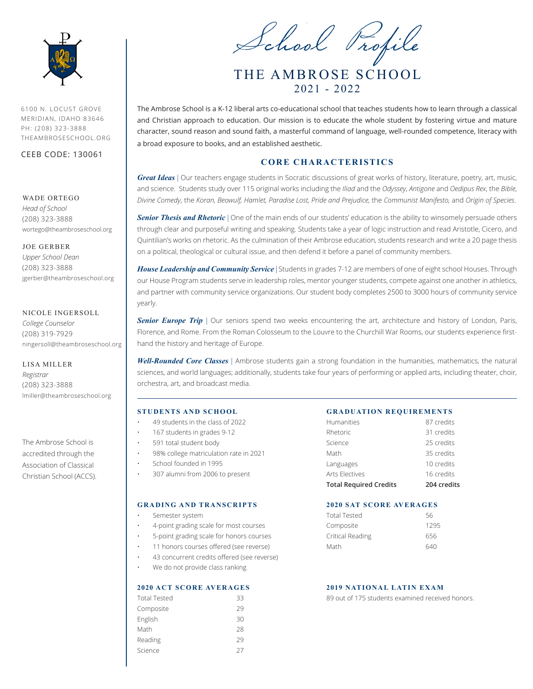

6100 N. LOCUST GROVE MERIDIAN, IDAHO 83646 PH: (208) 323-3888 THEAMBROSESCHOOL.ORG

CEEB CODE: 130061

# WADE ORTEGO

*Head of School* (208) 323-3888 wortego@theambroseschool.org

JOE GERBER *Upper School Dean* (208) 323-3888 jgerber@theambroseschool.org

### NICOLE INGERSOLL

*College Counselor* (208) 319-7929 ningersoll@theambroseschool.org

LISA MILLER *Registrar* (208) 323-3888 lmiller@theambroseschool.org

The Ambrose School is accredited through the Association of Classical Christian School (ACCS).

THE AMBROSE SCHOOL 2021 - 2022 School Profile

The Ambrose School is a K-12 liberal arts co-educational school that teaches students how to learn through a classical and Christian approach to education. Our mission is to educate the whole student by fostering virtue and mature character, sound reason and sound faith, a masterful command of language, well-rounded competence, literacy with a broad exposure to books, and an established aesthetic.

# **CORE CHARACTERISTICS**

*Great Ideas* | Our teachers engage students in Socratic discussions of great works of history, literature, poetry, art, music, and science. Students study over 115 original works including the *Iliad* and the *Odyssey*, *Antigone* and *Oedipus Rex*, the *Bible*, *Divine Comedy,* the *Koran, Beowulf, Hamlet, Paradise Lost, Pride and Prejudice,* the *Communist Manifesto,* and *Origin of Species*.

*Senior Thesis and Rhetoric* | One of the main ends of our students' education is the ability to winsomely persuade others through clear and purposeful writing and speaking. Students take a year of logic instruction and read Aristotle, Cicero, and Quintilian's works on rhetoric. As the culmination of their Ambrose education, students research and write a 20 page thesis on a political, theological or cultural issue, and then defend it before a panel of community members.

*House Leadership and Community Service* | Students in grades 7-12 are members of one of eight school Houses. Through our House Program students serve in leadership roles, mentor younger students, compete against one another in athletics, and partner with community service organizations. Our student body completes 2500 to 3000 hours of community service yearly.

**Senior Europe Trip** | Our seniors spend two weeks encountering the art, architecture and history of London, Paris, Florence, and Rome. From the Roman Colosseum to the Louvre to the Churchill War Rooms, our students experience firsthand the history and heritage of Europe.

*Well-Rounded Core Classes* | Ambrose students gain a strong foundation in the humanities, mathematics, the natural sciences, and world languages; additionally, students take four years of performing or applied arts, including theater, choir, orchestra, art, and broadcast media.

### **STUDENTS AND SCHOOL**

- 49 students in the class of 2022
- 167 students in grades 9-12
- 591 total student body
- 98% college matriculation rate in 2021
- School founded in 1995
- 307 alumni from 2006 to present

#### **GRADING AND TRANSCRIPTS**

- Semester system
- 4-point grading scale for most courses
- 5-point grading scale for honors courses
- 11 honors courses offered (see reverse)
- 43 concurrent credits offered (see reverse)
- We do not provide class ranking

# **2020 ACT SCORE AVERAGES**

| <b>Total Tested</b> | 33 |
|---------------------|----|
| Composite           | 29 |
| English             | 30 |
| Math                | 28 |
| Reading             | 79 |
| Science             | 27 |
|                     |    |

# **GRADUATION REQUIREMENTS**

| <b>Total Required Credits</b> | 204 credits |
|-------------------------------|-------------|
| Arts Flectives                | 16 credits  |
| Languages                     | 10 credits  |
| Math                          | 35 credits  |
| Science                       | 25 credits  |
| Rhetoric                      | 31 credits  |
| <b>Humanities</b>             | 87 credits  |
|                               |             |

#### **2020 SAT SCORE AVERAGES**

| Total Tested     | 56   |
|------------------|------|
| Composite        | 1295 |
| Critical Reading | 656  |
| Math             | 640  |

### **2019 NATIONAL LATIN EXAM**

89 out of 175 students examined received honors.